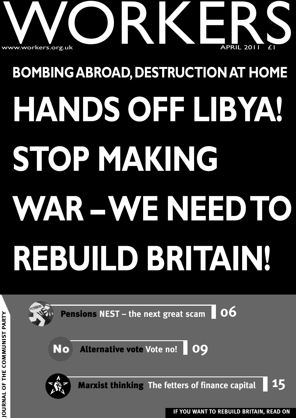

# **BOMBINGABROAD,DESTRUCTIONAT HOME HANDS OFF LIBYA! STOP MAKING WAR –WE NEEDTO REBUILD BRITAIN!**



**T H E C O M M U NIS T**

**PA R T Y**

**IF YOU WANT TO REBUILD BRITAIN, READ ON JO**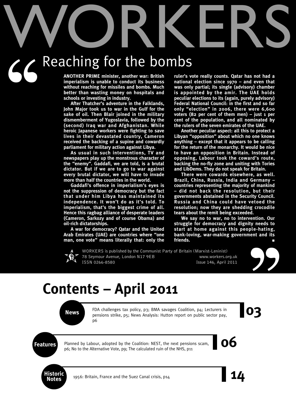# WORKERS

# $56$ Reaching for the bombs

**ANOTHER PRIME minister, another war: British imperialism is unable to conduct its business without reaching for missiles and bombs. Much better than wasting money on hospitals and schools or investing in industry.**

**After Thatcher's adventure in the Falklands, John Major took us to war in the Gulf for the sake of oil. Then Blair joined in the military dismemberment of Yugoslavia, followed by the (second) Iraq war and Afghanistan. While heroic Japanese workers were fighting to save lives in their devastated country, Cameron received the backing of a supine and cowardly parliament for military action against Libya.**

**As usual in such interventions, TV and newspapers play up the monstrous character of the "enemy". Gaddafi, we are told, is a brutal dictator. But if we are to go to war against every brutal dictator, we will have to invade more than half the countries in the world.**

**Gaddafi's offence in imperialism's eyes is not the suppression of democracy but the fact that under him Libya has maintained its independence. It won't do as it's told. To imperialism, that's the biggest crime of all. Hence this ragbag alliance of desperate leaders (Cameron, Sarkozy and of course Obama) and oil-rich dictatorships.**

**A war for democracy? Qatar and the United Arab Emirates (UAE) are countries where "one man, one vote" means literally that: only the** **ruler's vote really counts. Qatar has not had a national election since 1970 – and even that was only partial; its single (advisory) chamber is appointed by the amir. The UAE holds peculiar elections to its (again, purely advisory) Federal National Council: in the first and so far only "election" in 2006, there were 6,600 voters (82 per cent of them men) – just 1 per cent of the population, and all nominated by the rulers of the seven emirates of the UAE.**

**Another peculiar aspect: all this to protect a Libyan "opposition" about which no one knows anything – except that it appears to be calling for the return of the monarchy. It would be nice to have an opposition in Britain. Instead of opposing, Labour took the coward's route, backing the no-fly zone and uniting with Tories and LibDems. They do not speak for Britain.**

**There were cowards elsewhere, as well. Brazil, China, Russia, India and Germany – countries representing the majority of mankind – did not back the resolution, but their governments abstained in the Security Council. Russia and China could have vetoed the resolution; now they are shedding crocodile tears about the remit being exceeded.**

**We say no to war, no to intervention. Our struggle for democracy and dignity needs to start at home against this people-hating, bank-loving, war-making government and its friends. ■**

![](_page_1_Picture_11.jpeg)

WORKERS is published by the Communist Party of Britain (Marxist-Leninist) 78 Seymour Avenue, London N17 9EB www.workers.org.uk ISSN 0266-8580 Issue 146, April 2011

![](_page_1_Picture_13.jpeg)

**News** FDA challenges tax policy, p3; BMA savages Coalition, p4; Lecturers in pensions strike, p5; News Analysis: Hutton report on public sector pay, FDA challenges tax policy, p3; BMA savages Coalition, p4; Lecturers in pensions strike, p5; News Analysis: Hutton report on public sector pay, p6

**99**<br>|03

**Features** Planned by Labour, adopted by the Coalition: NEST, the next pensions scam, **OC** Planned by Labour, adopted by the Coalition: NEST, the next pensions scam, p6; No to the Alternative Vote, p9; The calculated ruin of the NHS, p11

![](_page_1_Picture_18.jpeg)

**Notes** 1956: Britain, France and the Suez Canal crisis, p14 **14**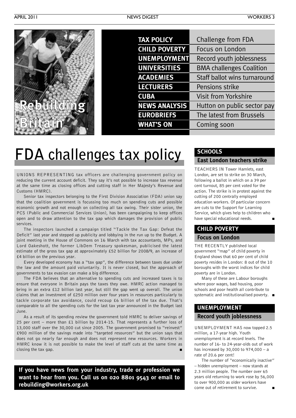![](_page_2_Picture_3.jpeg)

| <b>TAX POLICY</b>    | Challenge from FDA              |
|----------------------|---------------------------------|
| <b>CHILD POVERTY</b> | Focus on London                 |
| <b>UNEMPLOYMENT</b>  | Record youth joblessness        |
| <b>UNIVERSITIES</b>  | <b>BMA challenges Coalition</b> |
| <b>ACADEMIES</b>     | Staff ballot wins turnaround    |
| <b>LECTURERS</b>     | Pensions strike                 |
| <b>CUBA</b>          | <b>Visit from Yorkshire</b>     |
| <b>NEWS ANALYSIS</b> | Hutton on public sector pay     |
| <b>EUROBRIEFS</b>    | The latest from Brussels        |
| <b>WHAT'S ON</b>     | Coming soon                     |
|                      |                                 |

### **FDA challenges tax policy**

UNIONS REPRESENTING tax officers are challenging government policy on reducing the current account deficit. They say it's not possible to increase tax revenue at the same time as closing offices and cutting staff in Her Majesty's Revenue and Customs (HMRC).

Senior tax inspectors belonging to the First Division Association (FDA) union say that the coalition government is focussing too much on spending cuts and possible economic growth and not enough on collecting all tax owing. Their sister union, the PCS (Public and Commercial Services Union), has been campaigning to keep offices open and to draw attention to the tax gap which damages the provision of public services.

The inspectors launched a campaign titled "Tackle the Tax Gap: Defeat the Deficit" last year and stepped up publicity and lobbying in the run up to the Budget. A joint meeting in the House of Commons on 16 March with tax accountants, MPs, and Lord Oakeshott, the former LibDem Treasury spokesman, publicised the latest estimate of the gross tax gap at approximately £52 billion for 2008/9, an increase of £4 billion on the previous year.

Every developed economy has a "tax gap", the difference between taxes due under the law and the amount paid voluntarily. It is never closed, but the approach of governments to tax evasion can make a big difference.

The FDA believes that an alternative to spending cuts and increased taxes is to ensure that everyone in Britain pays the taxes they owe. HMRC action managed to bring in an extra £12 billion last year, but still the gap went up overall. The union claims that an investment of £250 million over four years in resources particularly to tackle corporate tax avoidance, could recoup £6 billion of the tax due. That's comparable to all the spending cuts for the last tax year announced in the Budget last June.

As a result of its spending review the government told HMRC to deliver savings of 25 per cent – more than £1 billion by 2014-15. That represents a further loss of 13,000 staff over the 30,000 cut since 2005. The government promised to "reinvest" £900 million of the savings made into "targeted resources" but the union says that does not go nearly far enough and does not represent new resources. Workers in HMRC know it is not possible to make the level of staff cuts at the same time as closing the tax gap.

**If you have news from your industry, trade or profession we want to hear from you. Call us on 020 8801 9543 or email to rebuilding@workers.org.uk**

### **SCHOOLS**

### **East London teachers strike**

TEACHERS IN Tower Hamlets, east London, are set to strike on 30 March, following a ballot in which on a 39 per cent turnout, 85 per cent voted for the action. The strike is in protest against the cutting of 200 centrally employed education workers. Of particular concern are cuts to the Support for Learning Service, which gives help to children who have special educational needs. **■**

### **CHILD POVERTY Focus on London**

THE RECENTLY published local government "map" of child poverty in England shows that 60 per cent of child poverty resides in London: 8 out of the 10 boroughs with the worst indices for child poverty are in London.

Many of these are Labour boroughs where poor wages, bad housing, poor schools and poor health all contribute to systematic and institutionalised poverty. **■**

### **UNEMPLOYMENT**

### **Record youth joblessness**

UNEMPLOYMENT HAS now topped 2.5 million, a 17-year high. Youth unemployment is at record levels. The number of 16- to 24-year-olds out of work has increased by 30,000 to 974,000 – a rate of 20.6 per cent!

The number of "economically inactive" – hidden unemployment – now stands at 2.3 million people. The number over 65 years old returning to work rose by 56,000 to over 900,000 as older workers have come out of retirement to survive.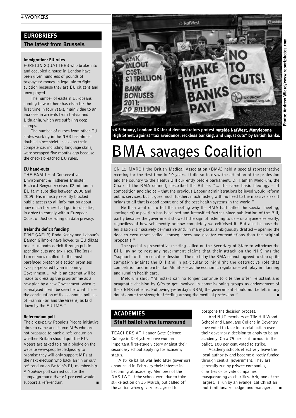### **EUROBRIEFS**

#### **The latest from Brussels**

#### **Immigration: EU rules**

FOREIGN SQUATTERS who broke into and occupied a house in London have been given hundreds of pounds of taxpayers' money in legal aid to fight eviction because they are EU citizens and unemployed.

The number of eastern Europeans coming to work here has risen for the first time in four years, mainly due to an increase in arrivals from Latvia and Lithuania, which are suffering deep slumps.

The number of nurses from other EU states working in the NHS has almost doubled since strict checks on their competence, including language skills, were scrapped five months ago because the checks breached EU rules.

#### **EU hand-outs**

THE FAMILY of Conservative Environment & Fisheries Minister Richard Benyon received £2 million in EU farm subsidies between 2000 and 2009. His ministry recently blocked public access to all information about how much farmers had got in subsidies, in order to comply with a European Court of Justice ruling on data privacy.

#### **Ireland's deficit funding**

FINE GAEL'S Enda Kenny and Labour's Eamon Gilmore have bowed to EU diktat to cut Ireland's deficit through public spending cuts and tax rises. The IRISH INDEPENDENT called it "the most barefaced breach of election promises ever perpetrated by an incoming Government … while an attempt will be made to dress up the programme as a new plan by a new Government, when it is analysed it will be seen for what it is – the continuation of the economic policies of Fianna Fail and the Greens, as laid down by the EU-IMF."

#### **Referendum poll**

The cross-party People's Pledge initiative aims to name and shame MPs who are not prepared to back a referendum on whether Britain should quit the EU. Voters are asked to sign a pledge on the website www.peoplespledge.org to promise they will only support MPs at the next election who back an 'in or out' referendum on Britain's EU membership. A YouGov poll carried out for the campaign found that 61 per cent would support a referendum.

![](_page_3_Picture_13.jpeg)

**26 February, London: UK Uncut demonstrators protest outside NatWest, Marylebone High Street, against "tax avoidance, reckless banking, and unjust cuts" by British banks.**

### **BMA savages Coalition**

ON 15 MARCH the British Medical Association (BMA) held a special representative meeting for the first time in 19 years. It did so to draw the attention of the profession and the country to the Health Bill currently before parliament. Dr Hamish Meldrum, the Chair of the BMA council, described the Bill as "… the same basic ideology – of competition and choice – that the previous Labour administrations believed would reform public services, but it goes much further, much faster, with no heed to the massive risks it brings to all that is good about one of the best health systems in the world."

He then went on to tell the meeting why the BMA had called the special meeting, stating: "Our position has hardened and intensified further since publication of the Bill, partly because the government showed little sign of listening to us – or anyone else really, regardless of how vehemently or how completely we criticised it. But also because the legislation is massively permissive and, in many parts, ambiguously drafted – opening the door to even more radical consequences and greater contradictions than the original proposals."

The special representative meeting called on the Secretary of State to withdraw the Bill, laying to rest any government claims that their attack on the NHS has the "support" of the medical profession. The next day the BMA council agreed to step up its campaign against the Bill and in particular to highlight the destructive role that competition and in particular Monitor – as the economic regulator – will play in planning and running health care.

Meldrum said, "Ministers can no longer continue to cite the often reluctant and pragmatic decision by GPs to get involved in commissioning groups as endorsement of their NHS reforms. Following yesterday's SRM, the government should not be left in any doubt about the strength of feeling among the medical profession." **■**

### **ACADEMIES Staff ballot wins turnaround**

TEACHERS AT Heanor Gate Science College in Derbyshire have won an important first-stage victory against their secondary school applying for academy status.

A strike ballot was held after governors announced in February their interest in becoming at academy. Members of the NASUWT at the school were due to take strike action on 15 March, but called off the action when governors agreed to

postpone the decision process.

And NUT members at Tile Hill Wood School and Language College in Coventry have voted to take industrial action over their governors' decision to apply to be an academy. On a 75 per cent turnout in the ballot, 100 per cent voted to strike.

Academy schools effectively leave the local authority and become directly funded through central government. They are generally run by private companies, charities or private companies masquerading as charities. Ark, one of the largest, is run by an evangelical Christian multi-millionaire hedge fund manager. **■**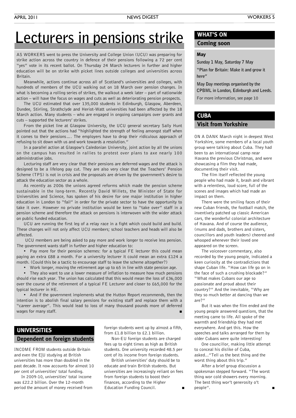### **Lecturers in pensions strike**

AS WORKERS went to press the University and College Union (UCU) was preparing for strike action across the country in defence of their pensions following a 72 per cent "yes" vote in its recent ballot. On Thursday 24 March lecturers in further and higher education will be on strike with picket lines outside colleges and universities across Britain.

Meanwhile, actions continue across all of Scotland's universities and colleges, with hundreds of members of the UCU walking out on 18 March over pension changes. In what is becoming a rolling series of strikes, the walkout a week later – part of nationwide action – will have the focus on wages and cuts as well as deteriorating pension prospects.

The UCU estimated that over 135,000 students in Edinburgh, Glasgow, Aberdeen, Dundee, Stirling, Strathclyde and Heriot-Watt universities had been affected by the 18 March action. Many students – who are engaged in ongoing campaigns over grants and cuts – supported the lecturers' strikes.

From the picket line at Glasgow University, the UCU general secretary Sally Hunt pointed out that the actions had "highlighted the strength of feeling amongst staff when it comes to their pensions…. The employers have to drop their ridiculous approach of refusing to sit down with us and work towards a resolution."

In a parallel action at Glasgow's Caledonian University, joint action by all the unions on the campus has resulted in rallies to protest over plans to axe nearly 100 administrative jobs.

Lecturing staff are very clear that their pensions are deferred wages and the attack is designed to be a lifelong pay cut. They are also very clear that the Teachers' Pension Scheme (TPS) is not in crisis and the proposals are driven by the government's desire to attack the education sector as a whole.

As recently as 2006 the unions agreed reforms which made the pension scheme sustainable in the long-term. Recently David Willets, the Minister of State for Universities and Science, has spoken of his desire for one major institution in higher education in London to "fail" in order for the private sector to have the opportunity to take it over. However no private institution would be keen to "take over" staff in a pension scheme and therefore the attack on pensions is interwoven with the wider attack on public funded education.

UCU are running the first leg of a relay race in a fight which could build and build. These changes will not only affect UCU members; school teachers and heads will also be affected.

UCU members are being asked to pay more and work longer to receive less pension. The government wants staff in further and higher education to:

• Pay more for their pension schemes: for a typical FE lecturer this could mean paying an extra £88 a month. For a university lecturer it could mean an extra £124 a month. (Could this be a tactic to encourage staff to leave the scheme altogether?)

• Work longer, moving the retirement age up to 65 in line with state pension age.

• They also want to use a lower measure of inflation to measure how much pensions should rise each year. The union has calculated that this would mean the loss of £36,000 over the course of the retirement of a typical FE Lecturer and closer to £65,000 for the typical lecturer in HE.

• And if the government implements what the Hutton Report recommends, then the intention is to abolish final salary pensions for existing staff and replace them with a "career average". This would lead to loss of many thousand pounds more of deferred wages for many staff.

### **UNIVERSITIES**

#### **Dependent on foreign students**

INCOME FROM students outside Britain and even the E|U studying at British universities has more than doubled in the past decade. It now accounts for almost 10 per cent of universities' total funding.

In 2009-10, universities' total income was £22.2 billion. Over the 12-month period the amount of money received from foreign students went up by almost a fifth, from £1.8 billion to £2.1 billion.

Non-EU foreign students are charged fees up to eight times as high as British students. One university recorded 48.5 per cent of its income from foreign students.

British universities' duty should be to educate and train British students. But universities are increasingly reliant on fees from foreign students to boost their finances, according to the Higher Education Funding Council. **■**

### **WHAT'S ON**

### **Coming soon**

#### **May**

**Sunday 1 May, Saturday 7 May**

**"Plan for Britain: Make it and grow it here"**

**May Day meetings organised by the CPBML in London, Edinburgh and Leeds.**

For more information, see page 10

### **CUBA**

### **Visit from Yorkshire**

ON A DANK March night in deepest West Yorkshire, some members of a local youth group were talking about Cuba. They had been to an international camp near Havana the previous Christmas, and were showcasing a film they had made, documenting their visit.

The film itself reflected the young people who had made it, brash and vibrant with a relentless, loud score, full of the scenes and images which had made an impact on them.

There were the smiling faces of their new Cuban friends, the football match, the inventively patched up classic American cars, the wonderful colonial architecture of Havana. And of course the audience, (mums and dads, brothers and sisters, councillors and youth leaders) cheered and whooped whenever their loved one appeared on the screen.

The voiceover commentary, also recorded by the young people, indicated a keen curiosity at the contradictions that shape Cuban life. "How can life go on in the face of such a crushing blockade?" "What makes Cubans our age so passionate and proud about their country?" And the inevitable, "Why are they so much better at dancing than we are?"

But it was when the film ended and the young people answered questions, that the meeting came to life. All spoke of the warmth and friendship they had met everywhere. And get this. How the speeches and talks arranged for them by older Cubans were quite interesting!

One councillor, making little attempt to conceal his dislike of Cuba, asked..."Tell us the best thing and the worst thing about this trip."

After a brief group discussion a spokesman stepped forward. "The worst thing wor cold showers every morning. The best thing wor't generosity o't people". **■**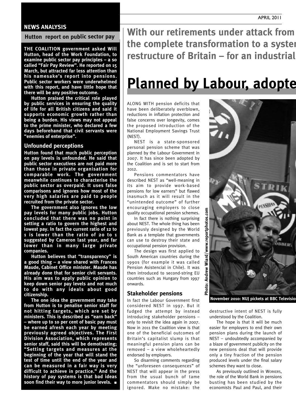### **NEWS ANALYSIS**

#### **Hutton report on public sector pay**

**THE COALITION government asked Will Hutton, head of the Work Foundation, to examine public sector pay principles – a so called "Fair Pay Review". He reported on 15 March, but attracted far less attention than his namesake's report into pensions. Public sector workers were underwhelmed with this report, and have little hope that there will be any positive outcome.**

**Hutton praised the critical role played by public services in ensuring the quality of life for all British citizens and said it supports economic growth rather than being a burden. His views may not appeal to the prime minister, who declared a few days beforehand that civil servants were "enemies of enterprise".**

#### **Unfounded perceptions**

**Hutton found that much public perception on pay levels is unfounded. He said that public sector executives are not paid more than those in private organisation for comparable work. The government meanwhile continues to characterise the public sector as overpaid. It uses false comparisons and ignores how most of the very high salaries are paid to people recruited from the private sector.**

**The government also ignores the low pay levels for many public jobs. Hutton concluded that there was no point in setting a ratio to govern the highest and lowest pay. In fact the current ratio of 12 to 1 is lower than the ratio of 20 to 1 suggested by Cameron last year, and far lower than in many large private companies.**

**Hutton believes that "transparency" is a good thing – a view shared with Frances Maude, Cabinet Office minister. Maude has already done that for senior civil servants. His aim was to apply public opinion to keep down senior pay levels and not much to do with any ideals about good citizenship.**

**The one idea the government may take from Hutton is to penalise senior staff for not hitting targets, which are set by ministers. This is described as "earn back" – where up to 10 per cent of basic pay must be earned afresh each year by meeting previously agreed objectives. The First Division Association, which represents senior staff, said this will be demotivating; "Setting targets and measures at the beginning of the year that will stand the test of time until the end of the year and can be measured in a fair way is very difficult to achieve in practice." And the history of pay systems is that bad ideas soon find their way to more junior levels. ■**

**With our retirements under attack from the complete transformation to a system restructure of Britain – for an industrial** 

### **Planned** by Labour, adopte

ALONG WITH pension deficits that have been deliberately overblown, reductions in inflation protection and false concerns over longevity, comes the proposed introduction of the National Employment Savings Trust (NEST).

NEST is a state-sponsored personal pension scheme that was planned by the Labour Government in 2007. It has since been adopted by the Coalition and is set to start from  $2012.$ 

Pensions commentators have described NEST as "well-meaning in its aim to provide work-based pensions for low earners" but flawed inasmuch as it will result in the "unintended outcome" of further encouraging employers to close quality occupational pension schemes.

In fact there is nothing surprising about NEST. The whole thing has been previously designed by the World Bank as a template that governments can use to destroy their state and occupational pension provision.

The design was first applied to South American countries during the 1990s (for example it was called Pension Asistencial in Chile). It was then introduced to second-string EU countries such as Hungary from 1997 onwards.

### **Stakeholder pensions**

In fact the Labour Government first considered NEST in 1997. But it fudged the attempt by instead introducing stakeholder pensions – only to revisit the idea again in 2007. Now in 2011 the Coalition view is that one of the beneficial outcomes of Britain's capitalist slump is that meaningful pension plans can be removed – a view wholeheartedly endorsed by employers.

So disarming comments regarding the "unforeseen consequences" of NEST that will appear in the press from the usual bunch of tame commentators should simply be ignored. Make no mistake: the

![](_page_5_Picture_20.jpeg)

destructive intent of NEST is fully understood by the Coalition.

The hope is that it will be much easier for employers to end their own pension plans during the launch of NEST – undoubtedly accompanied by a blaze of government publicity on the new pensions deal that will provide only a tiny fraction of the pension produced levels under the final salary schemes they want to close.

As previously outlined in WORKERS, the role of the World Bank in pensions busting has been studied by the economists Paul and Paul, and their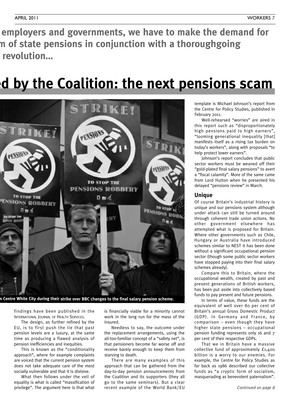**With our retirements under attack from employers and governments, we have to make the demand for the complete transformation to a system of state pensions in conjunction with a thoroughgoing revolution…** 

### **Planned by Labour, adopted by the Coalition: the next pensions scam**

![](_page_6_Picture_4.jpeg)

n Centre White City during their strike over BBC changes to the final salary pension scheme.

findings have been published in the INTERNATIONAL JOURNAL OF HEALTH SERVICES.

The design, as further refined by the EU, is to first push the lie that past pension levels are a luxury, at the same time as producing a flawed analysis of pension inefficiencies and inequities.

This is known as the "conditionality approach", where for example complaints are voiced that the current pension system does not take adequate care of the most socially vulnerable and that it is divisive.

What then follows under the veil of equality is what is called "massification of privilege". The argument here is that what

is financially viable for a minority cannot work in the long run for the mass of the insured.

Needless to say, the outcome under the replacement arrangements, using the all-too-familiar concept of a "safety net", is that pensioners become far worse off and receive barely enough to keep them from starving to death.

There are many examples of this approach that can be gathered from the day-to-day pension announcements from the Coalition and its supporters (they all go to the same seminars). But a clear recent example of the World Bank/EU

template is Michael Johnson's report from the Centre for Policy Studies, published in February 2011.

Well-rehearsed "worries" are aired in this report such as "disproportionately high pensions paid to high earners", "looming generational inequality [that] manifests itself as a rising tax burden on today's workers", along with proposals "to help protect lower earners".

Johnson's report concludes that public sector workers must be weaned off their "gold-plated final salary pensions" to avert a "fiscal calamity". More of the same came from Lord Hutton when he presented his delayed "pensions review" in March.

#### **Unique**

Of course Britain's industrial history is unique and our pensions system although under attack can still be turned around through coherent trade union actions. No other government elsewhere has attempted what is proposed for Britain. Where other governments such as Chile, Hungary or Australia have introduced schemes similar to NEST it has been done without a significant occupational pension sector (though some public sector workers have stopped paying into their final salary schemes already).

Compare this to Britain, where the occupational wealth, created by past and present generations of British workers, has been put aside into collectively based funds to pay present and future pensions.

In terms of value, these funds are the equivalent of well over 80 per cent of Britain's annual Gross Domestic Product (GDP). In Germany and France, by comparison – even though they have higher state pensions – occupational pension funding represents only 16 and 7 per cent of their respective GDPs.

That we in Britain have a massive collective fund of approximately £1,400 billion is a worry to our enemies. For example, the Centre for Policy Studies as far back as 1986 described our collective funds as "a cryptic form of socialism, masquerading as benevolent paternalism".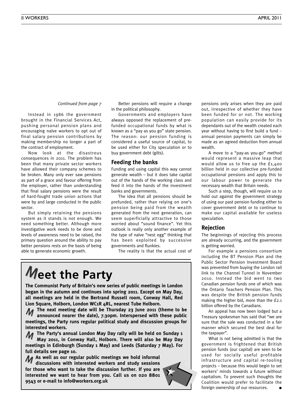#### *Continued from page 7*

Instead in 1986 the government brought in the Financial Services Act, pushing personal pension plans and encouraging naïve workers to opt out of final salary pension contributions by making membership no longer a part of the contract of employment.

Now look at the disastrous consequences in 2011. The problem has been that many private sector workers have allowed their company schemes to be broken. Many only ever saw pensions as part of a grace and favour offering from the employer, rather than understanding that final salary pensions were the result of hard-fought trade union actions that were by and large conducted in the public sector.

But simply retaining the pensions system as it stands is not enough. We need something better. Although more investigative work needs to be done and levels of awareness need to be raised, the primary question around the ability to pay better pensions rests on the basis of being able to generate economic growth.

Better pensions will require a change in the political philosophy.

Governments and employers have always opposed the replacement of prefunded occupational funds by what is known as a "pay as you go" state pension. The reason: our pension funding is considered a useful source of capital, to be used either for City speculation or to buy government debt (gilts).

### **Feeding the banks**

Funding and using capital this way cannot generate wealth – but it does take capital out of the hands of the working class and feed it into the hands of the investment banks and governments.

The idea that all pensions should be prefunded, rather than relying on one's pension being paid from the wealth generated from the next generation, can seem superficially attractive to those worried about "sound finance". Yet this outlook is really only another example of the type of naïve "nest egg" thinking that has been exploited by successive governments and flunkies.

The reality is that the actual cost of

### **Meet the Party**

**The Communist Party of Britain's new series of public meetings in London began in the autumn and continues into spring 2011. Except on May Day, all meetings are held in the Bertrand Russell room, Conway Hall, Red Lion Square, Holborn, London WC1R 4RL, nearest Tube Holborn.**

**The next meeting date will be Thursday 23 June 2011 (theme to be announced nearer the date), 7.30pm. Interspersed with these public meetings, the Party runs regular political study and discussion groups for interested workers.** M

**The Party's annual London May Day rally will be held on Sunday 1 May 2011, in Conway Hall, Holborn. There will also be May Day meetings in Edinburgh (Sunday 1 May) and Leeds (Saturday 7 May). For full details see page 10.** M

**As well as our regular public meetings we hold informal** M **discussions with interested workers and study sessions for those who want to take the discussion further. If you are interested we want to hear from you. Call us on 020 8801 9543 or e-mail to info@workers.org.uk**

![](_page_7_Picture_17.jpeg)

pensions only arises when they are paid out, irrespective of whether they have been funded for or not. The working population can easily provide for its dependants out of the wealth created each year without having to first build a fund – annual pension payments can simply be made as an agreed deduction from annual wealth.

A move to a "pay-as you-go" method would represent a massive leap that would allow us to free up the £1,400 billion held in our collective pre-funded occupational pensions and apply this to our labour power to generate the necessary wealth that Britain needs.

Such a step, though, will require us to hold out against the government strategy of using our past pension funding either to cover government debt or to continue to make our capital available for useless speculation.

### **Rejection**

The beginnings of rejecting this process are already occurring, and the government is getting worried.

For example a pensions consortium including the BT Pension Plan and the Public Sector Pension Investment Board was prevented from buying the London rail link to the Channel Tunnel in November 2010. Instead the bid went to two Canadian pension funds one of which was the Ontario Teachers Pension Plan. This was despite the British pension funds making the higher bid, more than the £2.1 billion offered by the Canadians.

An appeal has now been lodged but a Treasury spokesman has said that "we are sure that the sale was conducted in a fair manner which secured the best deal for the taxpayer".

What is not being admitted is that the government is frightened that British pension funds (our capital) are seen to be used for socially useful profitable infrastructure and capital re-tooling projects – because this would begin to set workers' minds towards a future without capitalism. To prevent such thoughts the Coalition would prefer to facilitate the foreign ownership of our resources.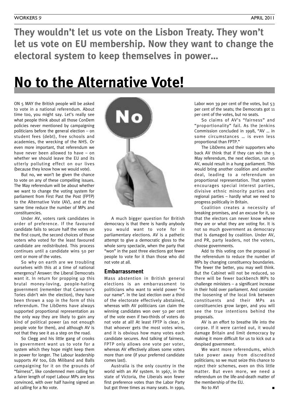**They wouldn't let us vote on the Lisbon Treaty. They won't let us vote on EU membership. Now they want to change the electoral system to keep themselves in power…**

### **No to the Alternative Vote!**

ON 5 MAY the British people will be asked to vote in a national referendum. About time too, you might say. Let's really see what people think about all those ConDem policies never mentioned by campaigning politicians before the general election – on student fees (debt), free schools and academies, the wrecking of the NHS. Or even more important, that referendum we have never been allowed to have – on whether we should leave the EU and its utterly polluting effect on our lives (because they know how we would vote).

But no, we won't be given the chance to vote on any of these compelling issues. The May referendum will be about whether we want to change the voting system for parliament from First Past the Post (FPTP) to the Alternative Vote (AV), and at the same time reduce the number of MPs and constituencies.

Under AV, voters rank candidates in order of preference. If the favoured candidate fails to secure half the votes on the first count, the second choices of those voters who voted for the least favoured candidate are redistributed. This process continues until a candidate wins 50 per cent or more of the votes.

So why on earth are we troubling ourselves with this at a time of national emergency? Answer: the Liberal Democrats want it. In return for propping up this brutal money-loving, people-hating government (remember that Cameron's Tories didn't win the election), they have been thrown a sop in the form of this referendum. The LibDems have always supported proportional representation as the only way they are likely to gain any kind of political power (as not enough people vote for them), and although AV is not that they see it as a step on the road.

So Clegg and his little gang of crooks in government want us to vote for a system which they hope might keep them in power for longer. The Labour leadership supports AV too, Eds Miliband and Balls campaigning for it on the grounds of "fairness", like condemned men calling for a fairer length of rope! Labour MPs are less convinced, with over half having signed an ad calling for a No vote.

![](_page_8_Picture_9.jpeg)

A much bigger question for British democracy is that there is hardly anybody you would want to vote for in parliamentary elections. AV is a pathetic attempt to give a democratic gloss to the whole sorry spectacle, when the party that "won" in the past three elections got fewer people to vote for it than those who did not vote at all.

#### **Embarrassment**

Mass abstention in British general elections is an embarrassment to politicians who want to wield power "in our name". In the last election over a third of the electorate effectively abstained, whereas with AV politicians can claim the winning candidates won over 50 per cent of the vote even if two-thirds of voters do not vote at all! At least FPTP is clear, in that whoever gets the most votes wins, and it is obvious how many votes each candidate secures. And talking of fairness, FPTP only allows one vote per voter, whereas AV effectively allows some voters more than one (if your preferred candidate comes last).

Australia is the only country in the world with an AV system. In 1967, in the state of Victoria, the Liberals won fewer first preference votes than the Labor Party but got three times as many seats. In 1990, Labor won 39 per cent of the votes, but 53 per cent of the seats; the Democrats got 11 per cent of the votes, but no seats.

So claims of AV's "fairness" and "proportionality" fail. As the Jenkins Commission concluded in 1998, "AV … in some circumstances … is even less proportional than FPTP."

The LibDems and their supporters who back AV think that if they can win the 5 May referendum, the next election, run on AV, would result in a hung parliament. This would bring another coalition and another deal, leading to a referendum on proportional representation. That system encourages special interest parties, divisive ethnic minority parties and regional parties – hardly what we need to progress politically in Britain.

Coalition creates a necessity of breaking promises, and an excuse for it, so that the electors can never know where they are or what they are voting for. It is not so much government as democracy that is damaged by coalition. Under AV, and PR, party leaders, not the voters, choose governments.

Add to this voting con the proposal in the referendum to reduce the number of MPs by changing constituency boundaries. The fewer the better, you may well think. But the Cabinet will not be reduced, so there will be fewer backbench MPs to challenge ministers – a significant increase in their hold over parliament. And consider the loosening of the local link between constituents and their MPs as constituencies grow larger, and you will see the true intentions behind the proposals.

AV is an effort to breathe life into the corpse. If it were carried out, it would damage Britain and limit democracy by making it more difficult for us to kick out a despised government.

We want more referendums, which take power away from discredited politicians; so we must seize this chance to reject their schemes, even on this little matter. But even more, we need a referendum on the life-and-death matter of the membership of the EU.

No to AV! **■**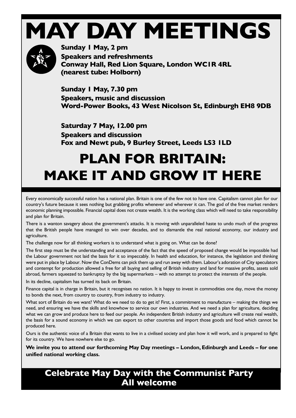### **MAY DAY MEETINGS**

![](_page_9_Picture_1.jpeg)

**Sunday 1 May, 2 pm Speakers and refreshments Conway Hall, Red Lion Square, London WC1R 4RL (nearest tube: Holborn)**

**Sunday 1 May, 7.30 pm Speakers, music and discussion Word-Power Books, 43 West Nicolson St, Edinburgh EH8 9DB**

**Saturday 7 May, 12.00 pm Speakers and discussion Fox and Newt pub, 9 Burley Street, Leeds LS3 1LD**

### **PLAN FOR BRITAIN: MAKE IT AND GROW IT HERE**

Every economically successful nation has a national plan. Britain is one of the few not to have one. Capitalism cannot plan for our country's future because it sees nothing but grabbing profits whenever and wherever it can. The god of the free market renders economic planning impossible. Financial capital does not create wealth. It is the working class which will need to take responsibility and plan for Britain.

There is a wanton savagery about the government's attacks. It is moving with unparalleled haste to undo much of the progress that the British people have managed to win over decades, and to dismantle the real national economy, our industry and agriculture.

The challenge now for all thinking workers is to understand what is going on. What can be done?

The first step must be the understanding and acceptance of the fact that the speed of proposed change would be impossible had the Labour government not laid the basis for it so impeccably. In health and education, for instance, the legislation and thinking were put in place by Labour. Now the ConDems can pick them up and run away with them. Labour's adoration of City speculators and contempt for production allowed a free for all buying and selling of British industry and land for massive profits, assets sold abroad, farmers squeezed to bankruptcy by the big supermarkets – with no attempt to protect the interests of the people.

In its decline, capitalism has turned its back on Britain.

Finance capital is in charge in Britain, but it recognises no nation. It is happy to invest in commodities one day, move the money to bonds the next, from country to country, from industry to industry.

What sort of Britain do we want? What do we need to do to get it? First, a commitment to manufacture – making the things we need, and ensuring we have the skills and knowhow to service our own industries. And we need a plan for agriculture, deciding what we can grow and produce here to feed our people. An independent British industry and agriculture will create real wealth, the basis for a sound economy in which we can export to other countries and import those goods and food which cannot be produced here.

Ours is the authentic voice of a Britain that wants to live in a civilised society and plan how it will work, and is prepared to fight for its country. We have nowhere else to go.

**We invite you to attend our forthcoming May Day meetings – London, Edinburgh and Leeds – for one unified national working class.**

### **Celebrate May Day with the Communist Party All welcome**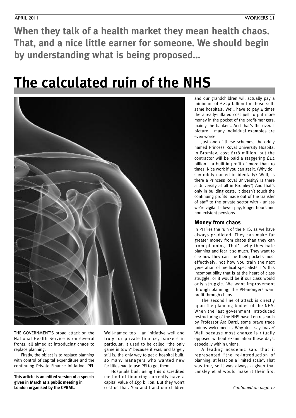**When they talk of a health market they mean health chaos. That, and a nice little earner for someone. We should begin by understanding what is being proposed…**

### **The calculated ruin of the NHS**

![](_page_10_Picture_4.jpeg)

THE GOVERNMENT'S broad attack on the National Health Service is on several fronts, all aimed at introducing chaos to replace planning.

Firstly, the object is to replace planning with control of capital expenditure and the continuing Private Finance Initiative, PFI.

**This article is an edited version of a speech given in March at a public meeting in London organised by the CPBML.**

Well-named too – an initiative well and truly for private finance, bankers in particular. It used to be called "the only game in town" because it was, and largely still is, the only way to get a hospital built, so many managers who wanted new facilities had to use PFI to get them.

Hospitals built using this discredited method of financing currently have a capital value of £59 billion. But they won't cost us that. You and I and our children

and our grandchildren will actually pay a minimum of £229 billion for those selfsame hospitals. We'll have to pay 4 times the already-inflated cost just to put more money in the pocket of the profit-mongers, mainly the bankers. And that's the overall picture – many individual examples are even worse.

Just one of these schemes, the oddly named Princess Royal University Hospital in Bromley, cost £118 million, but the contractor will be paid a staggering £1.2 billion – a built-in profit of more than 10 times. Nice work if you can get it. (Why do I say oddly named incidentally? Well, is there a Princess Royal University? Is there a University at all in Bromley?) And that's only in building costs; it doesn't touch the continuing profits made out of the transfer of staff to the private sector with - unless we're vigilant - lower pay, longer hours and non-existent pensions.

### **Money from chaos**

In PFI lies the ruin of the NHS, as we have always predicted. They can make far greater money from chaos than they can from planning. That's why they hate planning and fear it so much. They want to see how they can line their pockets most effectively, not how you train the next generation of medical specialists. It's this incompatibility that is at the heart of class struggle; or it would be if our class would only struggle. We want improvement through planning; the PFI-mongers want profit through chaos.

The second line of attack is directly upon the planning bodies of the NHS. When the last government introduced restructuring of the NHS based on research by Professor Ara Darzi, some brave trade unions welcomed it. Why do I say brave? Well because most change is ritually opposed without examination these days, especially within unions.

A leading academic said that it represented "the re-introduction of planning, at least on a limited scale". That was true, so it was always a given that Lansley et al would make it their first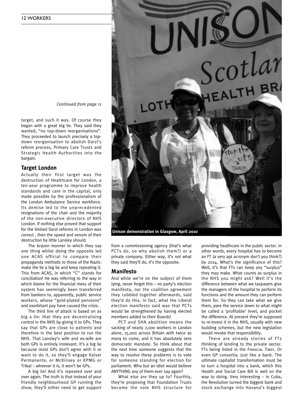![](_page_11_Picture_1.jpeg)

target, and such it was. Of course they began with a great big lie. They said they wanted, "no top-down reorganisations". They proceeded to launch precisely a topdown reorganisation to abolish Darzi's reform process, Primary Care Trusts and Strategic Health Authorities into the bargain.

#### **Target London**

Actually their first target was the destruction of Healthcare for London, a ten-year programme to improve health standards and care in the capital, only made possible by the professionalism of the London Ambulance Service workforce. Its demise led to the unprecedented resignations of the chair and the majority of the non-executive directors of NHS London. If nothing else proved that support for the limited Darzi reforms in London was correct , then the speed and venom of their destruction by little Lansley should.

The brazen manner in which they say one thing whilst doing the opposite led one ACAS official to compare their propaganda methods to those of the Nazis: make the lie a big lie and keep repeating it. This from ACAS, in which "C'' stands for conciliation! He was referring to the way in which blame for the financial mess of their system has seemingly been transferred from bankers to, apparently, public service workers, whose "gold-plated pensions" and exorbitant pay have caused the crisis.

The third line of attack is based on as big a lie: that they are decentralising control in the NHS by giving it to GPs. They say that GPs are close to patients and therefore in the best position to run the NHS. That Lansley's wife and ex-wife are both GPs is entirely irrelevant. It's a big lie because most GPs don't agree with it or want to do it, so they'll engage Kaiser Permanente, or McKinsey or KPMG or Tribal – whoever it is, it won't be GPs.

A big lie! And it's repeated over and over again. The truth is that instead of your friendly neighbourhood GP running the show, they'll either need to get support

![](_page_11_Picture_8.jpeg)

from a commissioning agency (that's what PCTs do, so why abolish them?) or a private company. Either way, it's not what they said they'll do, it's the opposite.

#### **Manifesto**

And while we're on the subject of them lying, never forget this – no party's election manifesto, nor the coalition agreement they cobbled together afterwards, said they'd do this. In fact, what the Liberal election manifesto said was that PCTs would be strengthened by having elected members added to their Boards!

PCT and SHA abolition means the sacking of nearly 2,000 workers in London alone, 15,000 across Britain with twice as many to come, and it has absolutely zero democratic mandate. So think about that the next time someone suggests that the way to resolve these problems is to vote for someone standing for election for parliament. Who but an idiot would believe ANYTHING any of them ever say again?

What else are they up to? Fourthly, they're proposing that Foundation Trusts become the sole NHS structure for providing healthcare in the public sector. In other words, every hospital has to become an FT (a very apt acronym don't you think?) by 2014. What's the significance of this? Well, it's that FTs can keep any "surplus" they may make. What counts as surplus in the NHS you might ask? Well it's the difference between what we taxpayers give the managers of the hospital to perform its functions and the amount they can perform them for. So they can take what we give them, pare the service down to what might be called a 'profitable' level, and pocket the difference. At present they're supposed to re-invest it in the NHS, usually with new building schemes, but the new legislation would revoke that responsibility.

There are already stories of FTs thinking of lending to the private sector. FTs being listed in the FINANCIAL TIMES. Or even GP consortia. Just like a bank. The ultimate capitalist transformation must be to turn a hospital into a bank, which this Health and Social Care Bill is well on the way to doing. Very interesting – in Cuba, the Revolution turned the biggest bank and stock exchange into Havana's biggest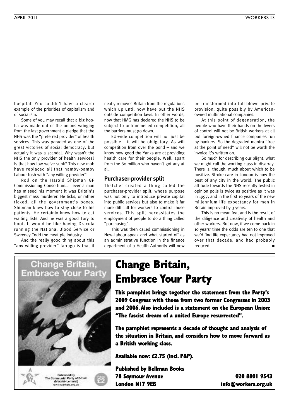hospital! You couldn't have a clearer example of the priorities of capitalism and of socialism.

Some of you may recall that a big hooha was made out of the unions wringing from the last government a pledge that the NHS was the "preferred provider" of health services. This was paraded as one of the great victories of social democracy, but actually it was a scandal. Why wasn't the NHS the only provider of health services? Is that how low we've sunk? This new mob have replaced all that namby-pamby Labour tosh with "any willing provider"!

Roll on the Harold Shipman GP Commissioning Consortium…if ever a man has missed his moment it was Britain's biggest mass murderer! He ticks, or rather ticked, all the government's boxes. Shipman knew how to stay close to his patients. He certainly knew how to cut waiting lists. And he was a good Tory to boot. It would be like having Dracula running the National Blood Service or Sweeney Todd the meat pie industry.

And the really good thing about this "any willing provider" farrago is that it neatly removes Britain from the regulations which up until now have put the NHS outside competition laws. In other words, now that HMG has declared the NHS to be subject to untrammelled competition, all the barriers must go down.

EU-wide competition will not just be possible – it will be obligatory. As will competition from over the pond – and we know how good the Yanks are at providing health care for their people. Well, apart from the 60 million who haven't got any at all.

### **Purchaser-provider split**

Thatcher created a thing called the purchaser-provider split, whose purpose was not only to introduce private capital into public services but also to make it far more difficult for workers to control those services. This split necessitates the employment of people to do a thing called "purchasing".

This was then called commissioning in New-Labour-speak and what started off as an administrative function in the finance department of a Health Authority will now be transformed into full-blown private provision, quite possibly by Americanowned multinational companies.

At this point of degeneration, the people who have their hands on the levers of control will not be British workers at all but foreign-owned finance companies run by bankers. So the degraded mantra "free at the point of need" will not be worth the invoice it's written on.

So much for describing our plight: what we might call the working class in disarray. There is, though, much about which to be positive. Stroke care in London is now the best of any city in the world. The public attitude towards the NHS recently tested in opinion polls is twice as positive as it was in 1997, and in the first 10 years of the new millennium life expectancy for men in Britain improved by 3 years.

This is no mean feat and is the result of the diligence and creativity of health and other workers. But now, if we come back in 10 years' time the odds are ten to one that we'd find life expectancy had not improved over that decade, and had probably reduced. **■**

## Change Britain, Embrace Your Party Patricined by Petroma by<br>The Communist Perty of Educate<br>@MacciateLorinist}<br>www.workers.org.uk

### **Change Britain, Embrace Your Party**

**This pamphlet brings together the statement from the Party's 2009 Congress with those from two former Congresses in 2003 and 2006. Also included is a statement on the European Union: "The fascist dream of a united Europe resurrected".**

**The pamphlet represents a decade of thought and analysis of the situation in Britain, and considers how to move forward as a British working class.**

**Available now: £2.75 (incl. P&P).**

**Published by Bellman Books 78 Seymour Avenue 020 8801 9543 London N17 9EB info@workers.org.uk**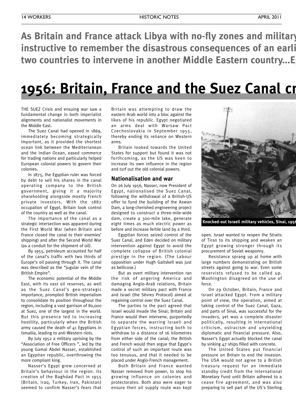**As Britain and France attack Libya with no-fly zones and military interference, it is instructive to remember the disastrous consequences of an earli two countries to intervene in another Middle Eastern country...Egypt**

### **1956: Britain, France and the Suez Canal crisis**

THE SUEZ Crisis and ensuing war saw a fundamental change in both imperialist alignments and nationalist movements in the Middle East.

The Suez Canal had opened in 1869, immediately becoming strategically important, as it provided the shortest ocean link between the Mediterranean and the Indian Ocean, eased commerce for trading nations and particularly helped European colonial powers to govern their colonies.

In 1875, the Egyptian ruler was forced by debt to sell his shares in the canal operating company to the British government, giving it a majority shareholding alongside mostly French private investors. With the 1882 occupation of Egypt, Britain took control of the country as well as the canal.

The importance of the canal as a strategic intersection was apparent during the First World War (when Britain and France closed the canal to their enemies' shipping) and after the Second World War (as a conduit for the shipment of oil).

By 1955, petroleum accounted for half of the canal's traffic with two thirds of Europe's oil passing through it. The canal was described as the "jugular vein of the British Empire".

The economic potential of the Middle East, with its vast oil reserves, as well as the Suez Canal's geo-strategic importance, prompted British imperialism to consolidate its position throughout the region, including a vast garrison of 80,000 at Suez, one of the largest in the world. But this presence led to increasing hostility, particularly when the British army caused the death of 41 Egyptians in Ismailia, leading to anti-Western riots.

By July 1952 a military uprising by the "Association of Free Officers ", led by the young Gamal Abdel Nasser, established an Egyptian republic, overthrowing the more compliant king.

Nasser's Egypt grew concerned at Britain's behaviour in the region. Its creation of the Baghdad Pact in 1955 (Britain, Iraq, Turkey, Iran, Pakistan) seemed to confirm Nasser's fears that

Britain was attempting to draw the eastern Arab world into a bloc against the likes of his republic. Egypt negotiated an arms deal with Warsaw Pact Czechoslovakia in September 1955, thereby ending its reliance on Western arms.

Britain looked towards the United States for support but found it was not forthcoming, as the US was keen to increase its own influence in the region and turf out the old colonial powers.

### **Nationalisation and war**

On 26 July 1956, Nasser, now President of Egypt, nationalised the Suez Canal, following the withdrawal of a British-US offer to fund the building of the Aswan Dam, a long-cherished engineering project designed to construct a three-mile-wide dam, create a 300-mile lake, generate eight times as much electric power as before and increase fertile land by a third.

Egyptian forces seized control of the Suez Canal, and Eden decided on military intervention against Egypt to avoid the complete collapse of British colonial prestige in the region. (The Labour opposition under Hugh Gaitskell was just as bellicose.)

But as overt military intervention ran the risk of angering America and damaging Anglo-Arab relations, Britain made a secret military pact with France and Israel (the Sèvres Protocol) aimed at regaining control over the Suez Canal.

The parties to the pact agreed that Israel would invade the Sinai; Britain and France would then intervene, purportedly to separate the warring Israeli and Egyptian forces, instructing both to withdraw to a distance of 16 kilometres from either side of the canal; the British and French would then argue that Egypt's control of such an important route was too tenuous, and that it needed to be placed under Anglo-French management.

Both Britain and France wanted Nasser removed from power, to stop his growing influence on colonies and protectorates. Both also were eager to ensure their oil supply route was kept

![](_page_13_Picture_21.jpeg)

**Knocked-out Israeli military vehicles, Sinai, 1956.**

open. Israel wanted to reopen the Straits of Tiran to its shipping and weaken an Egypt growing stronger through its procurement of Soviet weaponry.

Resistance sprang up at home with large numbers demonstrating on British streets against going to war. Even some reservists refused to be called up. Washington disagreed on the use of force.

On 29 October, Britain, France and Israel attacked Egypt. From a military point of view, the operation, aimed at taking control of the Suez Canal, Gaza, and parts of Sinai, was successful for the invaders, yet was a complete disaster politically, resulting in international criticism, ostracism and unyielding diplomatic and financial pressure. Also, Nasser's Egypt actually blocked the canal by sinking 47 ships filled with concrete.

The United States put financial pressure on Britain to end the invasion. The USA would not agree to a British treasury request for an immediate standby credit from the International Monetary Fund until Britain adhered to a cease fire agreement, and was also preparing to sell part of the US's Sterling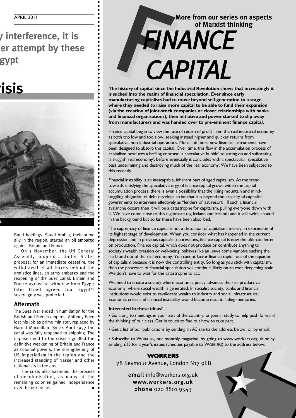### **As Britain and France attack Libya with no-fly zones and military interference, it is ier attempt by these two countries to intervene in another Middle Eastern country...Egypt**

### **1956: Britain, France and the Suez Canal crisis**

![](_page_14_Picture_3.jpeg)

Bond holdings. Saudi Arabia, their prime ally in the region, started an oil embargo against Britain and France.

On 2 November, the UN General Assembly adopted a United States proposal for an immediate ceasefire, the withdrawal of all forces behind the armistice lines, an arms embargo and the reopening of the Suez Canal. Britain and France agreed to withdraw from Egypt; later Israel agreed too. Egypt's sovereignty was protected.

### **Aftermath**

The Suez War ended in humiliation for the British and French empires. Anthony Eden lost his job as prime minister, replaced by Harold Macmillan. By 24 April 1957 the canal was fully reopened to shipping. The imposed end to the crisis signalled the definitive weakening of Britain and France as colonial powers, the strengthening of US imperialism in the region and the increased standing of Nasser and other nationalists in the area.

The crisis also hastened the process of decolonisation, as many of the remaining colonies gained independence over the next years.

### **More from our series on aspects of Marxist thinking** FIN<br>CA *FINANCE CAPITAL*

**The history of capital since the Industrial Revolution shows that increasingly it is sucked into the realm of financial speculation. Ever since early manufacturing capitalists had to move beyond self-generation to a stage where they needed to raise more capital to be able to fund their expansion (via the creation of joint-stock companies or closer relationships with banks and financial organisations), then initiative and power started to slip away from manufacturers and was handed over to pre-eminent finance capital.**

Finance capital began to view the rate of return of profit from the real industrial economy as both too low and too slow, seeking instead higher and quicker returns from speculative, non-industrial operations. More and more new financial instruments have been designed to absorb this capital. Over time, this flaw in the accumulation process of capitalism produces a baffling contrast: 'a speculative bubble' squatting on and suffocating 'a sluggish real economy', before eventually it concludes with a spectacular, speculative bust undermining and destroying much of the real economy. We have been subjected to this recently.

Financial instability is an inescapable, inherent part of aged capitalism. As the trend towards satisfying the speculative orgy of finance capital grows within the capital accumulation process, there is even a possibility that the rising mountain and mindboggling obligation of debt develops so far that it is beyond the capacity of capitalist governments to intervene effectively as "lenders of last resort". If such a financial avalanche occurs then it will be a catastrophe for capitalism, pulling everyone down with it. We have come close to this nightmare (eg Iceland and Ireland) and it still swirls around in the background but so far these have been absorbed.

The supremacy of finance capital is not a distortion of capitalism, merely an expression of its highest stage of development. When you consider what has happened in the current depression and in previous capitalist depressions, finance capital is now the ultimate fetter on production. Finance capital, which does not produce or contribute anything to society's wealth creation or well-being, behaves like an unwelcome vampire sucking the life-blood out of the real economy. You cannot factor finance capital out of the equation of capitalism because it is now the controlling entity. So long as you stick with capitalism, then the processes of financial speculation will continue, likely on an ever-deepening scale. We don't have to wait for the catastrophe to act.

We need to create a society where economic policy advances the real productive economy, where social wealth is generated. In socialist society, banks and financial institutions would exist to re-allocate wealth to industry and social infrastructure. Economic crises and financial instability would become distant, fading memories.

#### **Interested in these ideas?**

• Go along to meetings in your part of the country, or join in study to help push forward the thinking of our class. Get in touch to find out how to take part.

• Get a list of our publications by sending an A5 sae to the address below, or by email.

• Subscribe to WORKERS, our monthly magazine, by going to www.workers.org.uk or by sending £15 for a year's issues (cheques payable to WORKERS) to the address below.

### **WORKERS**

78 Seymour Avenue, London N17 9EB

email info@workers.org.uk www.workers.org.uk phone 020 8801 9543

![](_page_14_Picture_22.jpeg)